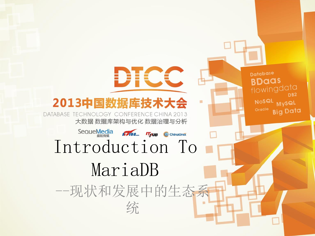

DTCC

大数据 数据库架构与优化 数据治理与分析

# SequeMedia 1768 True OchinaUnix<br>Introduction To MariaDB

--现状和发展中的生态系 统

**Database BDaas** flowingdata D<sub>B2</sub> Nosal Mysal **Big Data**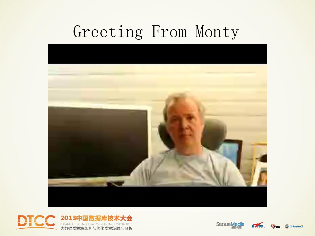## Greeting From Monty







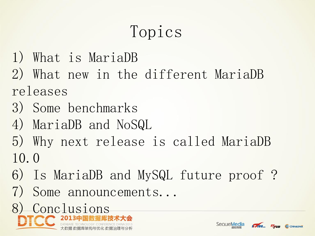## Topics

- 1) What is MariaDB
- 2) What new in the different MariaDB releases
- 3) Some benchmarks
- 4) MariaDB and NoSQL
- 5) Why next release is called MariaDB 10.0
- 6) Is MariaDB and MySQL future proof ?
- 7) Some announcements...





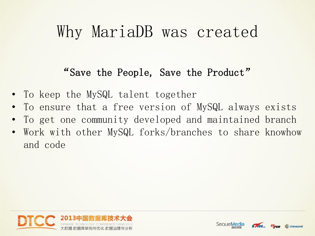#### Why MariaDB was created

#### "Save the People, Save the Product"

- To keep the MySQL talent together
- To ensure that a free version of MySQL always exists
- To get one community developed and maintained branch
- Work with other MySQL forks/branches to share knowhow and code





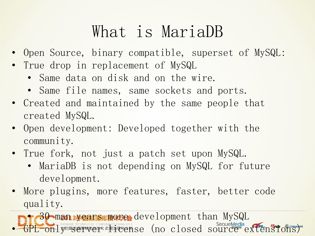## What is MariaDB

- Open Source, binary compatible, superset of MySQL:
- True drop in replacement of MySQL
	- Same data on disk and on the wire.
	- Same file names, same sockets and ports.
- Created and maintained by the same people that created MySQL.
- Open development: Developed together with the community.
- True fork, not just a patch set upon MySQL.
	- MariaDB is not depending on MySQL for future development.
- More plugins, more features, faster, better code quality.

• 30 man syears more development than MySQL **FOR LASTARASE TECHNOLOGY CONFERENCE CHINA 2013**<br>
TONLY数据变色序料构色体化数据注定它的 Search Source and Source extends on search source extensions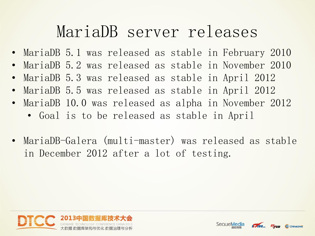#### MariaDB server releases

- MariaDB 5.1 was released as stable in February 2010
- MariaDB 5.2 was released as stable in November 2010
- MariaDB 5.3 was released as stable in April 2012
- MariaDB 5.5 was released as stable in April 2012
- MariaDB 10.0 was released as alpha in November 2012
	- Goal is to be released as stable in April
- MariaDB-Galera (multi-master) was released as stable in December 2012 after a lot of testing.





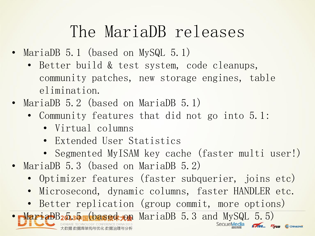## The MariaDB releases

- MariaDB 5.1 (based on MySQL 5.1)
	- Better build & test system, code cleanups, community patches, new storage engines, table elimination.
- MariaDB 5.2 (based on MariaDB 5.1)
	- Community features that did not go into 5.1:
		- Virtual columns
		- Extended User Statistics
		- Segmented MyISAM key cache (faster multi user!)
- MariaDB 5.3 (based on MariaDB 5.2)
	- Optimizer features (faster subquerier, joins etc)
	- Microsecond, dynamic columns, faster HANDLER etc.
	- Better replication (group commit, more options)

 $-MariabB_2\delta_3\delta_4\delta_4\gamma_4$  MariaDB 5.3 and MySQL 5.5)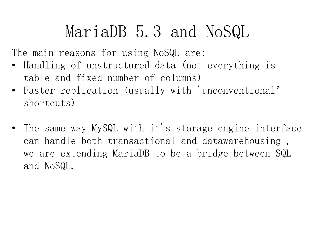### MariaDB 5.3 and NoSQL

The main reasons for using NoSQL are:

- Handling of unstructured data (not everything is table and fixed number of columns)
- Faster replication (usually with 'unconventional' shortcuts)
- The same way MySQL with it's storage engine interface can handle both transactional and datawarehousing , we are extending MariaDB to be a bridge between SQL and NoSQL.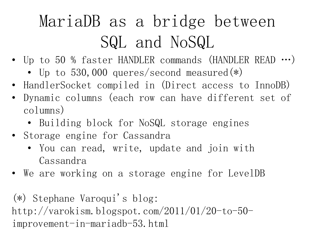## MariaDB as a bridge between SQL and NoSQL

- Up to 50 % faster HANDLER commands (HANDLER READ …)
	- Up to 530,000 queres/second measured $(*)$
- HandlerSocket compiled in (Direct access to InnoDB)
- Dynamic columns (each row can have different set of columns)
	- Building block for NoSQL storage engines
- Storage engine for Cassandra
	- You can read, write, update and join with Cassandra
- We are working on a storage engine for LevelDB

(\*) Stephane Varoqui's blog: http://varokism.blogspot.com/2011/01/20-to-50 improvement-in-mariadb-53.html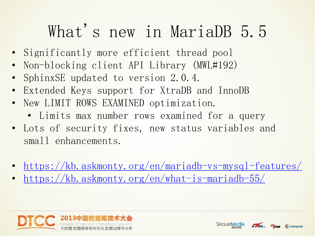## What's new in MariaDB 5.5

- Significantly more efficient thread pool
- Non-blocking client API Library (MWL#192)
- SphinxSE updated to version 2.0.4.
- Extended Keys support for XtraDB and InnoDB
- New LIMIT ROWS EXAMINED optimization.
	- Limits max number rows examined for a query
- Lots of security fixes, new status variables and small enhancements.
- <https://kb.askmonty.org/en/mariadb-vs-mysql-features/>
- <https://kb.askmonty.org/en/what-is-mariadb-55/>





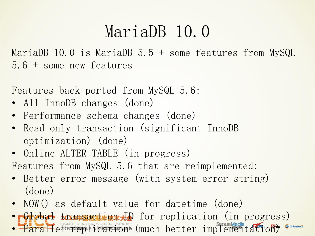## MariaDB 10.0

MariaDB 10.0 is MariaDB 5.5 + some features from MySQL 5.6 + some new features

Features back ported from MySQL 5.6:

- All InnoDB changes (done)
- Performance schema changes (done)
- Read only transaction (significant InnoDB optimization) (done)
- Online ALTER TABLE (in progress)
- Features from MySQL 5.6 that are reimplemented:
- Better error message (with system error string) (done)
- NOW() as default value for datetime (done)

• Global transaction for replication (in progress) • Paralle<sup>Marks</sup> Echnology conference china 2013 (much better implementation)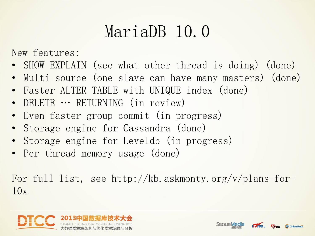## MariaDB 10.0

New features:

- SHOW EXPLAIN (see what other thread is doing) (done)
- Multi source (one slave can have many masters) (done)
- Faster ALTER TABLE with UNIQUE index (done)
- DELETE … RETURNING (in review)
- Even faster group commit (in progress)
- Storage engine for Cassandra (done)
- Storage engine for Leveldb (in progress)
- Per thread memory usage (done)

For full list, see http://kb.askmonty.org/v/plans-for- $10x$ 



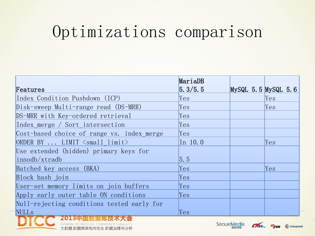## Optimizations comparison

|                                                      | MariaDB           |                         |     |
|------------------------------------------------------|-------------------|-------------------------|-----|
| Features                                             | 5.3/5.5           | $MySQL$ 5.5 $MySQL$ 5.6 |     |
| Index Condition Pushdown (ICP)                       | Yes               |                         | Yes |
| Disk-sweep Multi-range read (DS-MRR)                 | Yes               |                         | Yes |
| DS-MRR with Key-ordered retrieval                    | Yes               |                         |     |
| Index merge / Sort intersection                      | Yes               |                         |     |
| Cost-based choice of range vs. index merge           | Yes               |                         |     |
| ORDER BY  LIMIT $\langle \text{small limit} \rangle$ | In $10.0$         |                         | Yes |
| Use extended (hidden) primary keys for               |                   |                         |     |
| innodb/xtradb                                        | $\vert 5.5 \vert$ |                         |     |
| Batched key access (BKA)                             | Yes               |                         | Yes |
| Block hash join                                      | Yes.              |                         |     |
| User-set memory limits on join buffers               | Yes.              |                         |     |
| Apply early outer table ON conditions                | Yes.              |                         |     |
| Null-rejecting conditions tested early for           |                   |                         |     |
| NULL <sub>S</sub>                                    | Yes               |                         |     |
|                                                      |                   |                         |     |

DATABASE TECHNOLOGY CONFERENCE CHINA 2013 大数据 数据库架构与优化 数据治理与分析 SequeMedia



C ChinaUnix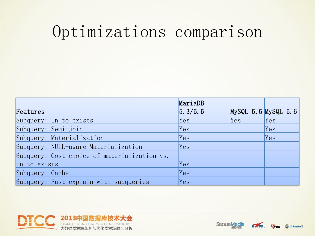#### Optimizations comparison

|                                              | MariaDB |                         |     |
|----------------------------------------------|---------|-------------------------|-----|
| Features                                     | 5.3/5.5 | $MySQL$ 5.5 $MySQL$ 5.6 |     |
| Subquery: In-to-exists                       | Yes     | Yes                     | Yes |
| Subquery: Semi-join                          | Yes     |                         | Yes |
| Subquery: Materialization                    | Yes     |                         | Yes |
| Subquery: NULL-aware Materialization         | Yes     |                         |     |
| Subquery: Cost choice of materialization vs. |         |                         |     |
| $ $ in-to-exists                             | Yes     |                         |     |
| Subquery: Cache                              | Yes     |                         |     |
| Subquery: Fast explain with subqueries       | Yes     |                         |     |





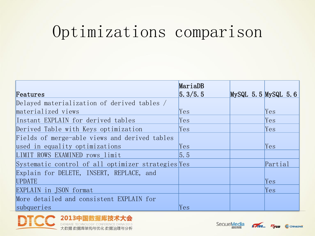#### Optimizations comparison

|                                                    | MariaDB          |                         |         |
|----------------------------------------------------|------------------|-------------------------|---------|
| Features                                           | 5.3/5.5          | $MySQL$ 5.5 $MySQL$ 5.6 |         |
| Delayed materialization of derived tables /        |                  |                         |         |
| materialized views                                 | Yes              |                         | Yes     |
| Instant EXPLAIN for derived tables                 | Yes              |                         | Yes     |
| Derived Table with Keys optimization               | Yes              |                         | Yes     |
| Fields of merge-able views and derived tables      |                  |                         |         |
| used in equality optimizations                     | Yes              |                         | Yes     |
| LIMIT ROWS EXAMINED rows limit                     | $\overline{5.5}$ |                         |         |
| Systematic control of all optimizer strategies Yes |                  |                         | Partial |
| Explain for DELETE, INSERT, REPLACE, and           |                  |                         |         |
| <b>UPDATE</b>                                      |                  |                         | Yes     |
| EXPLAIN in JSON format                             |                  |                         | Yes     |
| More detailed and consistent EXPLAIN for           |                  |                         |         |
| subqueries                                         | Yes              |                         |         |







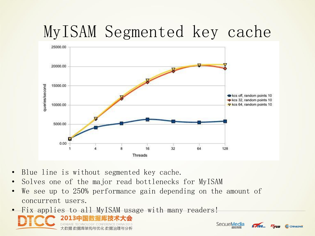## MyISAM Segmented key cache



(b) ChinaUnix

- Blue line is without segmented key cache.
- Solves one of the major read bottlenecks for MyISAM
- We see up to 250% performance gain depending on the amount of concurrent users.
- Fix applies to all MyISAM usage with many readers!2013中国数据库技术大会 SeoueMedia 大数据 数据库架构与优化 数据治理与分析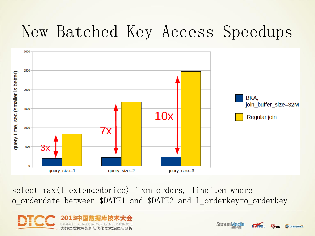## New Batched Key Access Speedups



select max (1 extendedprice) from orders, lineitem where o\_orderdate between \$DATE1 and \$DATE2 and l\_orderkey=o\_orderkey





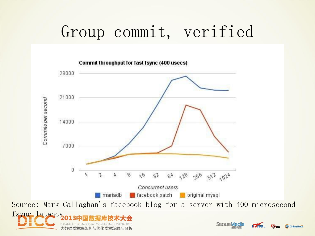## Group commit, verified



大数据 数据库架构与优化 数据治理与分析

**SequeMedia** 

**STARS** 

C ChinaUnix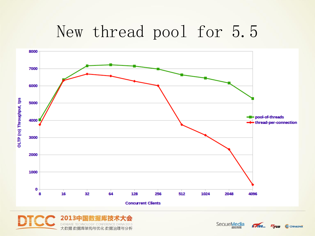### New thread pool for 5.5





SequeMedia

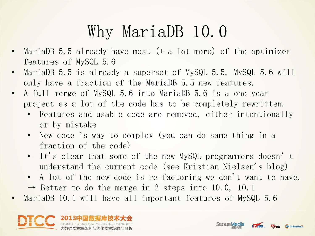## Why MariaDB 10.0

- MariaDB  $5.5$  already have most  $(+a)$  lot more) of the optimizer features of MySQL 5.6
- MariaDB 5.5 is already a superset of MySQL 5.5. MySQL 5.6 will only have a fraction of the MariaDB 5.5 new features.
- A full merge of MySQL 5.6 into MariaDB 5.6 is a one year project as a lot of the code has to be completely rewritten.
	- Features and usable code are removed, either intentionally or by mistake
	- New code is way to complex (you can do same thing in a fraction of the code)
	- It's clear that some of the new MySQL programmers doesn't understand the current code (see Kristian Nielsen's blog)
	- A lot of the new code is re-factoring we don't want to have.  $\rightarrow$  Better to do the merge in 2 steps into 10.0, 10.1
- MariaDB 10.1 will have all important features of MySQL 5.6





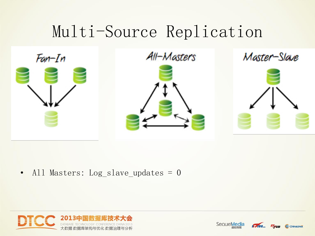## Multi-Source Replication



All-Masters







• All Masters: Log\_slave\_updates = 0





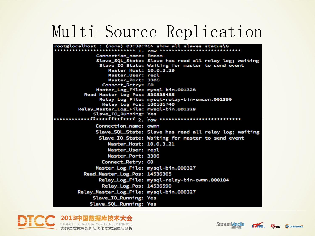### Multi-Source Replication

| root@localhost : (none) 03:30:26> show all slaves status\G |                                                                 |
|------------------------------------------------------------|-----------------------------------------------------------------|
|                                                            | *************************** 1. row **************************** |
| Connection_name: Emcon                                     |                                                                 |
|                                                            | Slave_SQL_State: Slave has read all relay log; waiting          |
|                                                            | Slave_IO_State: Waiting for master to send event                |
| Master_Host: 10.0.3.29<br>Master_User: repl                |                                                                 |
| Master_Port: 3306                                          |                                                                 |
| Connect_Retry: 60                                          |                                                                 |
|                                                            | Master_Log_File: mysql-bin.001328                               |
| Read_Master_Log_Pos: 530535455                             |                                                                 |
|                                                            | Relay_Log_File: mysql-relay-bin-emcon.001350                    |
| Relay_Log_Pos: 530535740                                   |                                                                 |
| Relay_Master_Log_File: mysql-bin.001328                    |                                                                 |
| Slave_IO_Running: Yes                                      |                                                                 |
|                                                            |                                                                 |
| Connection_name: owmn                                      |                                                                 |
|                                                            | Slave_SQL_State: Slave has read all relay log; waiting          |
|                                                            | Slave_IO_State: Waiting for master to send event                |
| Master_Host: 10.0.3.21                                     |                                                                 |
| Master_User: repl                                          |                                                                 |
| Master_Port: 3306                                          |                                                                 |
| Connect_Retry: 60                                          |                                                                 |
|                                                            | Master_Log_File: mysql-bin.000327                               |
| Read_Master_Log_Pos: 14536305                              |                                                                 |
|                                                            | Relay_Log_File: mysql-relay-bin-owmn.000184                     |
| Relay_Log_Pos: 14536590                                    |                                                                 |
| Relay_Master_Log_File: mysql-bin.000327                    |                                                                 |
| Slave_IO_Running: Yes                                      |                                                                 |
| Slave_SQL_Running: Yes                                     |                                                                 |





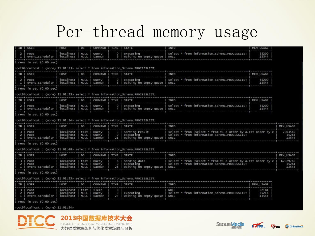#### Per-thread memory usage

|                    | ID USER                         | <b>HOST</b>                         | DB                          | COMMAND   TIME   STATE   |                     |                                                                                 | INFO                                                                                                                 | MEM USAGE               |                            |  |
|--------------------|---------------------------------|-------------------------------------|-----------------------------|--------------------------|---------------------|---------------------------------------------------------------------------------|----------------------------------------------------------------------------------------------------------------------|-------------------------|----------------------------|--|
| -1                 | root<br>event_scheduler         | localhost<br>localhost              | NULL<br><b>NULL</b>         | Query<br>Daemon          | $^{\circ}$<br>6     | executing<br>Waiting on empty queue                                             | select * from information_Schema.PROCESSLIST<br>55200<br>13544<br>NULL                                               |                         |                            |  |
|                    | 2 rows in set (0.00 sec)        |                                     |                             |                          |                     |                                                                                 |                                                                                                                      |                         |                            |  |
|                    |                                 |                                     |                             |                          |                     | root@localhost : (none) 11:01:33> select * from information Schema.PROCESSLIST: |                                                                                                                      |                         |                            |  |
|                    | ID   USER                       | HOST                                | <b>DB</b>                   | <b>COMMAND</b>           |                     | TIME STATE                                                                      | <b>INFO</b>                                                                                                          | MEM_USAGE               |                            |  |
| -2<br>$\mathbf{1}$ | root<br>event_scheduler         | localhost  <br>localhost            | <b>NULL</b><br>NULL         | Query<br>Daemon          | O <sub>1</sub>      | executing<br>6   Waiting on empty queue                                         | select * from information Schema. PROCESSLIST<br>55200<br>13544<br>NULL                                              |                         |                            |  |
|                    | 2 rows in set (0.00 sec)        |                                     |                             |                          |                     |                                                                                 |                                                                                                                      |                         |                            |  |
|                    |                                 |                                     |                             |                          |                     | root@localhost : (none) 11:01:33> select * from information_Schema.PROCESSLIST; |                                                                                                                      |                         |                            |  |
|                    | ID   USER                       | HOST                                | DB                          | COMMAND                  |                     | TIME STATE                                                                      | INFO                                                                                                                 | MEM_USAGE               |                            |  |
| -2<br>$\mathbf{1}$ | root<br>event scheduler         | localhost<br>localhost              | NULL<br><b>NULL</b>         | Query<br>Daemon          | $^{\circ}$          | executing<br>Waiting on empty queue                                             | select " from information_Schema. PROCESSLIST<br>NULL                                                                | 55200<br>13544          |                            |  |
|                    | 2 rows in set (0.00 sec)        |                                     |                             |                          |                     |                                                                                 |                                                                                                                      |                         |                            |  |
|                    |                                 |                                     |                             |                          |                     | root@localhost : (none) 11:01:34> select * from information_Schema.PROCESSLIST; |                                                                                                                      |                         |                            |  |
| ID                 | <b>USER</b>                     | HOST                                | DB                          | COMMAND                  | TIME                | <b>STATE</b>                                                                    | INFO                                                                                                                 |                         | MEM_USAGE                  |  |
| -3<br>-1           | root<br>root<br>event_scheduler | localhost<br>localhost<br>localhost | test<br>NULL<br>NULL        | Query<br>Query<br>Daemon | з.<br>$\circ$<br>21 | Sorting result<br>executing<br>Waiting on empty queue                           | select * from (select * from t1 a order by a.c)t order by c<br>select * from information_Schema. PROCESSLIST<br>NULL |                         | 2303560<br>55264<br>13544  |  |
|                    | 3 rows in set (0.00 sec)        |                                     |                             |                          |                     |                                                                                 |                                                                                                                      |                         |                            |  |
|                    |                                 |                                     |                             |                          |                     | root@localhost : (none) 11:01:48> select * from information Schema.PROCESSLIST: |                                                                                                                      |                         |                            |  |
|                    | ID USER                         | HOST                                | DB                          | COMMAND                  |                     | TIME STATE                                                                      | <b>INFO</b>                                                                                                          |                         |                            |  |
| -31<br>2<br>-1     | root<br>root<br>event scheduler | localhost<br>localhost<br>localhost | test<br><b>NULL</b><br>NULL | query<br>Query<br>Daemon | 8<br>$\circ$<br>26  | Sending data<br>executing<br>Waiting on empty queue                             | select * from (select * from t1 a order by a.c)t order by c<br>select " from information_Schema. PROCESSLIST<br>NULL |                         | 62929760<br>55264<br>13544 |  |
|                    | $3$ rows in set $(0.00$ sec)    |                                     |                             |                          |                     |                                                                                 |                                                                                                                      |                         |                            |  |
|                    |                                 |                                     |                             |                          |                     | root@localhost : (none) 11:01:53> select * from information_schema.PROCESSLIST: |                                                                                                                      |                         |                            |  |
| <b>ID</b>          | USER                            | HOST                                | <b>DB</b>                   | COMMAND                  | TIME                | <b>STATE</b>                                                                    | INFO                                                                                                                 | MEM_USAGE               |                            |  |
| 3<br>-1            | root<br>root<br>event_scheduler | localhost<br>localhost<br>localhost | test<br>NULL<br><b>NULL</b> | Sleep<br>Query<br>Daemon | 9<br>$\circ$<br>27  | executing<br>waiting on empty queue                                             | NULL<br>select * from information_Schema. PROCESSLIST<br>NULL                                                        | 52184<br>55216<br>13544 |                            |  |
|                    | 3 rows in set (0.00 sec)        |                                     |                             |                          |                     |                                                                                 |                                                                                                                      |                         |                            |  |

#### oot@localhost : (none) 11:01:54>





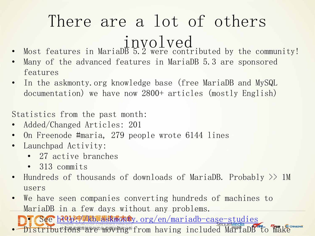## There are a lot of others involved

- Most features in MariaD $\overline{B}$   $\overline{5}$ . 2 were contributed by the community!
- Many of the advanced features in MariaDB 5.3 are sponsored features
- In the askmonty.org knowledge base (free MariaDB and MySQL documentation) we have now 2800+ articles (mostly English)

Statistics from the past month:

- Added/Changed Articles: 201
- On Freenode #maria, 279 people wrote 6144 lines
- Launchpad Activity:
	- 27 active branches
	- 313 commits
- Hundreds of thousands of downloads of MariaDB. Probably >> 1M users
- We have seen companies converting hundreds of machines to MariaDB in a few days without any problems.

• See<http://kb.askmonty.org/en/mariadb-case-studies> Distributions are moving included MariaDB to make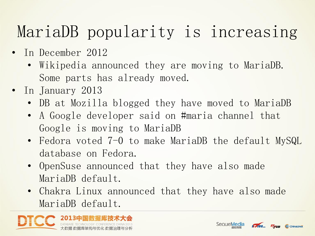## MariaDB popularity is increasing

- In December 2012
	- Wikipedia announced they are moving to MariaDB. Some parts has already moved.
- In January 2013
	- DB at Mozilla blogged they have moved to MariaDB
	- A Google developer said on #maria channel that Google is moving to MariaDB
	- Fedora voted 7-0 to make MariaDB the default MySQL database on Fedora.
	- OpenSuse announced that they have also made MariaDB default.
	- Chakra Linux announced that they have also made MariaDB default.





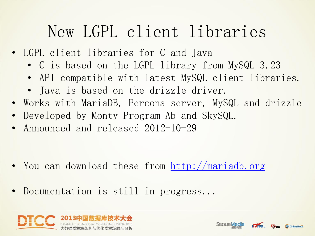## New LGPL client libraries

- LGPL client libraries for C and Java
	- C is based on the LGPL library from MySQL 3.23
	- API compatible with latest MySQL client libraries.
	- Java is based on the drizzle driver.
- Works with MariaDB, Percona server, MySQL and drizzle
- Developed by Monty Program Ab and SkySQL.
- Announced and released 2012-10-29

- You can download these from<http://mariadb.org>
- Documentation is still in progress...





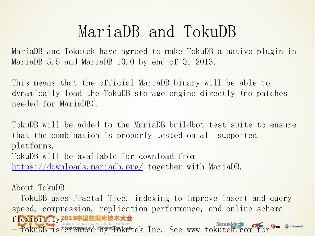#### MariaDB and TokuDB

MariaDB and Tokutek have agreed to make TokuDB a native plugin in MariaDB 5.5 and MariaDB 10.0 by end of Q1 2013.

This means that the official MariaDB binary will be able to dynamically load the TokuDB storage engine directly (no patches needed for MariaDB).

TokuDB will be added to the MariaDB buildbot test suite to ensure that the combination is properly tested on all supported platforms. TokuDB will be available for download from <https://downloads.mariadb.org/> together with MariaDB.

About TokuDB

- TokuDB uses Fractal Tree. indexing to improve insert and query speed, compression, replication performance, and online schema  $\rm f$ lexibility2013中国数据库技术大会 - TokuDB is created by Tokutek Inc. See www.tokutek.com for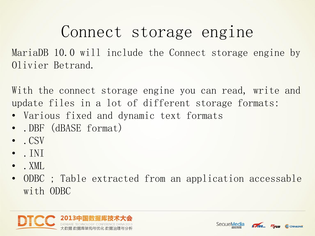#### Connect storage engine

MariaDB 10.0 will include the Connect storage engine by Olivier Betrand.

With the connect storage engine you can read, write and update files in a lot of different storage formats:

- Various fixed and dynamic text formats
- .DBF (dBASE format)
- . CSV
- $\bullet$  . INT
- $\bullet$  . XML.
- ODBC ; Table extracted from an application accessable with ODBC





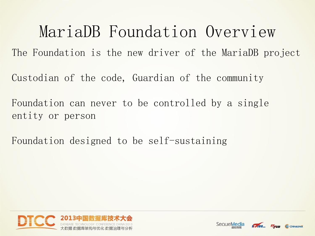MariaDB Foundation Overview The Foundation is the new driver of the MariaDB project Custodian of the code, Guardian of the community Foundation can never to be controlled by a single entity or person

Foundation designed to be self-sustaining





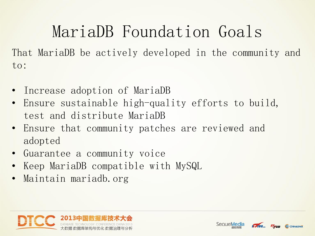MariaDB Foundation Goals That MariaDB be actively developed in the community and to:

- Increase adoption of MariaDB
- Ensure sustainable high-quality efforts to build, test and distribute MariaDB
- Ensure that community patches are reviewed and adopted
- Guarantee a community voice
- Keep MariaDB compatible with MySQL
- Maintain mariadb.org





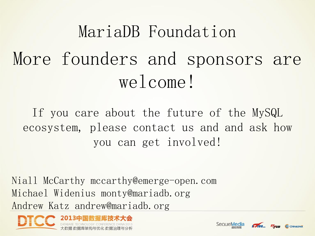# MariaDB Foundation More founders and sponsors are welcome!

If you care about the future of the MySQL ecosystem, please contact us and and ask how you can get involved!

Niall McCarthy mccarthy@emerge-open.com Michael Widenius monty@mariadb.org Andrew Katz andrew@mariadb.org





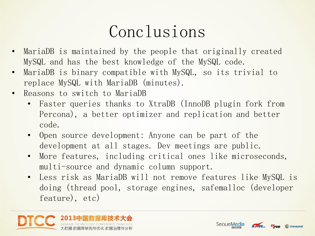## Conclusions

- MariaDB is maintained by the people that originally created MySQL and has the best knowledge of the MySQL code.
- MariaDB is binary compatible with MySQL, so its trivial to replace MySQL with MariaDB (minutes).
- Reasons to switch to MariaDB
	- Faster queries thanks to XtraDB (InnoDB plugin fork from Percona), a better optimizer and replication and better code.
	- Open source development: Anyone can be part of the development at all stages. Dev meetings are public.
	- More features, including critical ones like microseconds, multi-source and dynamic column support.
	- Less risk as MariaDB will not remove features like MySQL is doing (thread pool, storage engines, safemalloc (developer feature), etc)





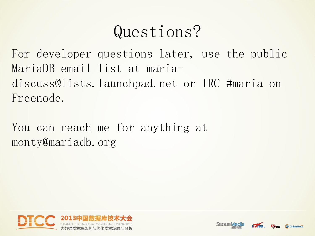## Questions?

For developer questions later, use the public MariaDB email list at mariadiscuss@lists.launchpad.net or IRC #maria on Freenode.

You can reach me for anything at monty@mariadb.org